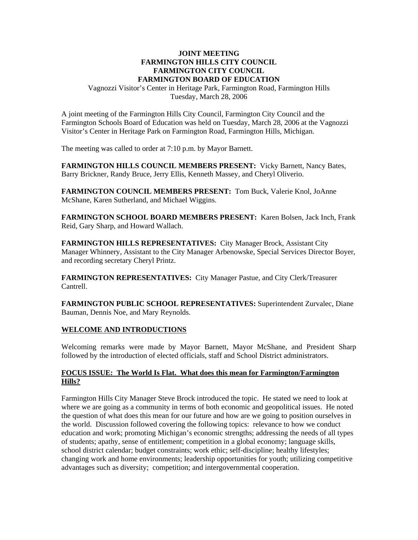#### **JOINT MEETING FARMINGTON HILLS CITY COUNCIL FARMINGTON CITY COUNCIL FARMINGTON BOARD OF EDUCATION**

Vagnozzi Visitor's Center in Heritage Park, Farmington Road, Farmington Hills Tuesday, March 28, 2006

A joint meeting of the Farmington Hills City Council, Farmington City Council and the Farmington Schools Board of Education was held on Tuesday, March 28, 2006 at the Vagnozzi Visitor's Center in Heritage Park on Farmington Road, Farmington Hills, Michigan.

The meeting was called to order at 7:10 p.m. by Mayor Barnett.

**FARMINGTON HILLS COUNCIL MEMBERS PRESENT:** Vicky Barnett, Nancy Bates, Barry Brickner, Randy Bruce, Jerry Ellis, Kenneth Massey, and Cheryl Oliverio.

**FARMINGTON COUNCIL MEMBERS PRESENT:** Tom Buck, Valerie Knol, JoAnne McShane, Karen Sutherland, and Michael Wiggins.

**FARMINGTON SCHOOL BOARD MEMBERS PRESENT:** Karen Bolsen, Jack Inch, Frank Reid, Gary Sharp, and Howard Wallach.

**FARMINGTON HILLS REPRESENTATIVES:** City Manager Brock, Assistant City Manager Whinnery, Assistant to the City Manager Arbenowske, Special Services Director Boyer, and recording secretary Cheryl Printz.

**FARMINGTON REPRESENTATIVES:** City Manager Pastue, and City Clerk/Treasurer Cantrell.

**FARMINGTON PUBLIC SCHOOL REPRESENTATIVES:** Superintendent Zurvalec, Diane Bauman, Dennis Noe, and Mary Reynolds.

#### **WELCOME AND INTRODUCTIONS**

Welcoming remarks were made by Mayor Barnett, Mayor McShane, and President Sharp followed by the introduction of elected officials, staff and School District administrators.

## **FOCUS ISSUE: The World Is Flat. What does this mean for Farmington/Farmington Hills?**

Farmington Hills City Manager Steve Brock introduced the topic. He stated we need to look at where we are going as a community in terms of both economic and geopolitical issues. He noted the question of what does this mean for our future and how are we going to position ourselves in the world. Discussion followed covering the following topics: relevance to how we conduct education and work; promoting Michigan's economic strengths; addressing the needs of all types of students; apathy, sense of entitlement; competition in a global economy; language skills, school district calendar; budget constraints; work ethic; self-discipline; healthy lifestyles; changing work and home environments; leadership opportunities for youth; utilizing competitive advantages such as diversity; competition; and intergovernmental cooperation.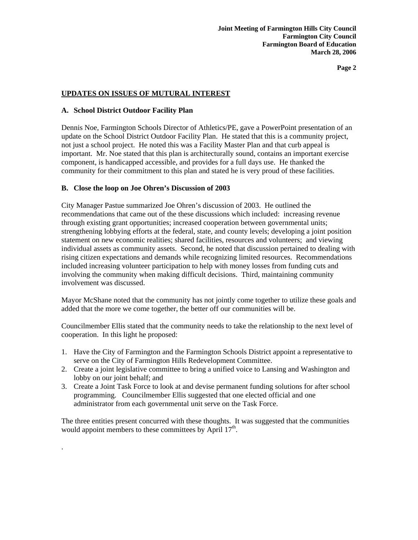**Page 2** 

# **UPDATES ON ISSUES OF MUTURAL INTEREST**

#### **A. School District Outdoor Facility Plan**

.

Dennis Noe, Farmington Schools Director of Athletics/PE, gave a PowerPoint presentation of an update on the School District Outdoor Facility Plan. He stated that this is a community project, not just a school project. He noted this was a Facility Master Plan and that curb appeal is important. Mr. Noe stated that this plan is architecturally sound, contains an important exercise component, is handicapped accessible, and provides for a full days use. He thanked the community for their commitment to this plan and stated he is very proud of these facilities.

## **B. Close the loop on Joe Ohren's Discussion of 2003**

City Manager Pastue summarized Joe Ohren's discussion of 2003. He outlined the recommendations that came out of the these discussions which included: increasing revenue through existing grant opportunities; increased cooperation between governmental units; strengthening lobbying efforts at the federal, state, and county levels; developing a joint position statement on new economic realities; shared facilities, resources and volunteers; and viewing individual assets as community assets. Second, he noted that discussion pertained to dealing with rising citizen expectations and demands while recognizing limited resources. Recommendations included increasing volunteer participation to help with money losses from funding cuts and involving the community when making difficult decisions. Third, maintaining community involvement was discussed.

Mayor McShane noted that the community has not jointly come together to utilize these goals and added that the more we come together, the better off our communities will be.

Councilmember Ellis stated that the community needs to take the relationship to the next level of cooperation. In this light he proposed:

- 1. Have the City of Farmington and the Farmington Schools District appoint a representative to serve on the City of Farmington Hills Redevelopment Committee.
- 2. Create a joint legislative committee to bring a unified voice to Lansing and Washington and lobby on our joint behalf; and
- 3. Create a Joint Task Force to look at and devise permanent funding solutions for after school programming. Councilmember Ellis suggested that one elected official and one administrator from each governmental unit serve on the Task Force.

The three entities present concurred with these thoughts. It was suggested that the communities would appoint members to these committees by April  $17<sup>th</sup>$ .